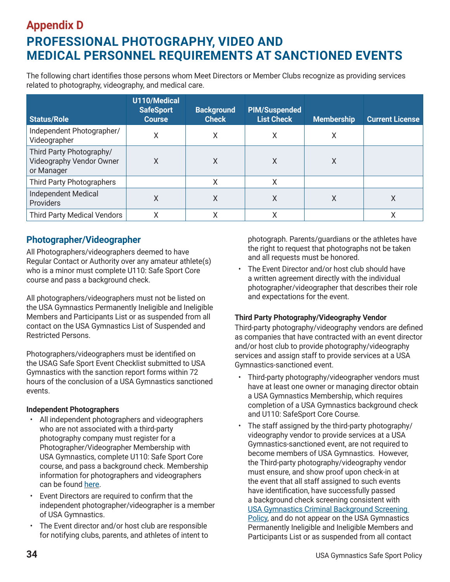# **Appendix D PROFESSIONAL PHOTOGRAPHY, VIDEO AND MEDICAL PERSONNEL REQUIREMENTS AT SANCTIONED EVENTS**

The following chart identifies those persons whom Meet Directors or Member Clubs recognize as providing services related to photography, videography, and medical care.

| <b>Status/Role</b>                                                 | U110/Medical<br><b>SafeSport</b><br><b>Course</b> | <b>Background</b><br><b>Check</b> | <b>PIM/Suspended</b><br><b>List Check</b> | <b>Membership</b> | <b>Current License</b> |
|--------------------------------------------------------------------|---------------------------------------------------|-----------------------------------|-------------------------------------------|-------------------|------------------------|
| Independent Photographer/<br>Videographer                          | Χ                                                 | Χ                                 | Χ                                         | Χ                 |                        |
| Third Party Photography/<br>Videography Vendor Owner<br>or Manager | Χ                                                 | Χ                                 | Χ                                         | Χ                 |                        |
| <b>Third Party Photographers</b>                                   |                                                   | Χ                                 | X                                         |                   |                        |
| Independent Medical<br>Providers                                   | X                                                 | Χ                                 | Χ                                         | Χ                 | X                      |
| <b>Third Party Medical Vendors</b>                                 | Χ                                                 | Χ                                 | Χ                                         |                   |                        |

## **Photographer/Videographer**

All Photographers/videographers deemed to have Regular Contact or Authority over any amateur athlete(s) who is a minor must complete U110: Safe Sport Core course and pass a background check.

All photographers/videographers must not be listed on the USA Gymnastics Permanently Ineligible and Ineligible Members and Participants List or as suspended from all contact on the USA Gymnastics List of Suspended and Restricted Persons.

Photographers/videographers must be identified on the USAG Safe Sport Event Checklist submitted to USA Gymnastics with the sanction report forms within 72 hours of the conclusion of a USA Gymnastics sanctioned events.

### **Independent Photographers**

- All independent photographers and videographers who are not associated with a third-party photography company must register for a Photographer/Videographer Membership with USA Gymnastics, complete U110: Safe Sport Core course, and pass a background check. Membership information for photographers and videographers can be found here.
- Event Directors are required to confirm that the independent photographer/videographer is a member of USA Gymnastics.
- The Event director and/or host club are responsible for notifying clubs, parents, and athletes of intent to

photograph. Parents/guardians or the athletes have the right to request that photographs not be taken and all requests must be honored.

• The Event Director and/or host club should have a written agreement directly with the individual photographer/videographer that describes their role and expectations for the event.

### **Third Party Photography/Videography Vendor**

Third-party photography/videography vendors are defined as companies that have contracted with an event director and/or host club to provide photography/videography services and assign staff to provide services at a USA Gymnastics-sanctioned event.

- Third-party photography/videographer vendors must have at least one owner or managing director obtain a USA Gymnastics Membership, which requires completion of a USA Gymnastics background check and U110: SafeSport Core Course.
- The staff assigned by the third-party photography/ videography vendor to provide services at a USA Gymnastics-sanctioned event, are not required to become members of USA Gymnastics. However, the Third-party photography/videography vendor must ensure, and show proof upon check-in at the event that all staff assigned to such events have identification, have successfully passed a background check screening consistent with USA Gymnastics Criminal Background Screening Policy, and do not appear on the USA Gymnastics Permanently Ineligible and Ineligible Members and Participants List or as suspended from all contact